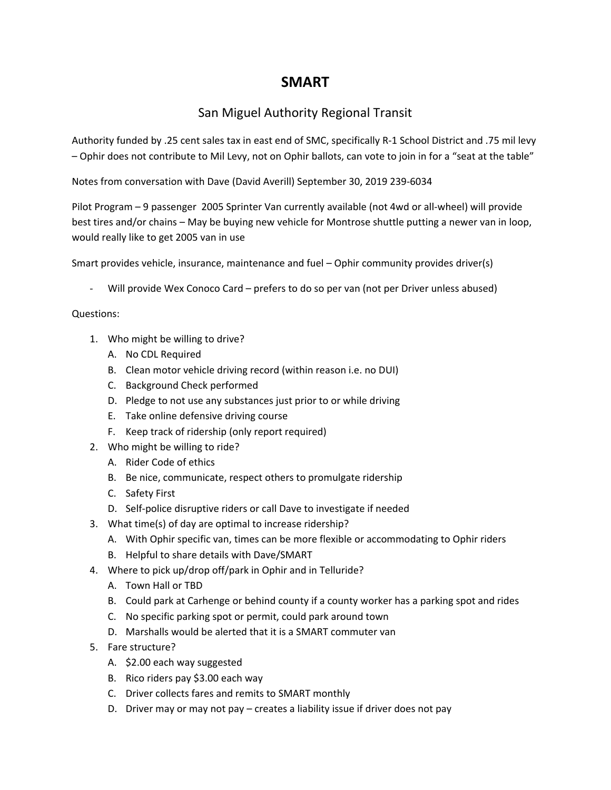## **SMART**

## San Miguel Authority Regional Transit

Authority funded by .25 cent sales tax in east end of SMC, specifically R‐1 School District and .75 mil levy – Ophir does not contribute to Mil Levy, not on Ophir ballots, can vote to join in for a "seat at the table"

Notes from conversation with Dave (David Averill) September 30, 2019 239‐6034

Pilot Program – 9 passenger 2005 Sprinter Van currently available (not 4wd or all‐wheel) will provide best tires and/or chains – May be buying new vehicle for Montrose shuttle putting a newer van in loop, would really like to get 2005 van in use

Smart provides vehicle, insurance, maintenance and fuel – Ophir community provides driver(s)

Will provide Wex Conoco Card – prefers to do so per van (not per Driver unless abused)

## Questions:

- 1. Who might be willing to drive?
	- A. No CDL Required
	- B. Clean motor vehicle driving record (within reason i.e. no DUI)
	- C. Background Check performed
	- D. Pledge to not use any substances just prior to or while driving
	- E. Take online defensive driving course
	- F. Keep track of ridership (only report required)
- 2. Who might be willing to ride?
	- A. Rider Code of ethics
	- B. Be nice, communicate, respect others to promulgate ridership
	- C. Safety First
	- D. Self‐police disruptive riders or call Dave to investigate if needed
- 3. What time(s) of day are optimal to increase ridership?
	- A. With Ophir specific van, times can be more flexible or accommodating to Ophir riders
	- B. Helpful to share details with Dave/SMART
- 4. Where to pick up/drop off/park in Ophir and in Telluride?
	- A. Town Hall or TBD
	- B. Could park at Carhenge or behind county if a county worker has a parking spot and rides
	- C. No specific parking spot or permit, could park around town
	- D. Marshalls would be alerted that it is a SMART commuter van
- 5. Fare structure?
	- A. \$2.00 each way suggested
	- B. Rico riders pay \$3.00 each way
	- C. Driver collects fares and remits to SMART monthly
	- D. Driver may or may not pay creates a liability issue if driver does not pay